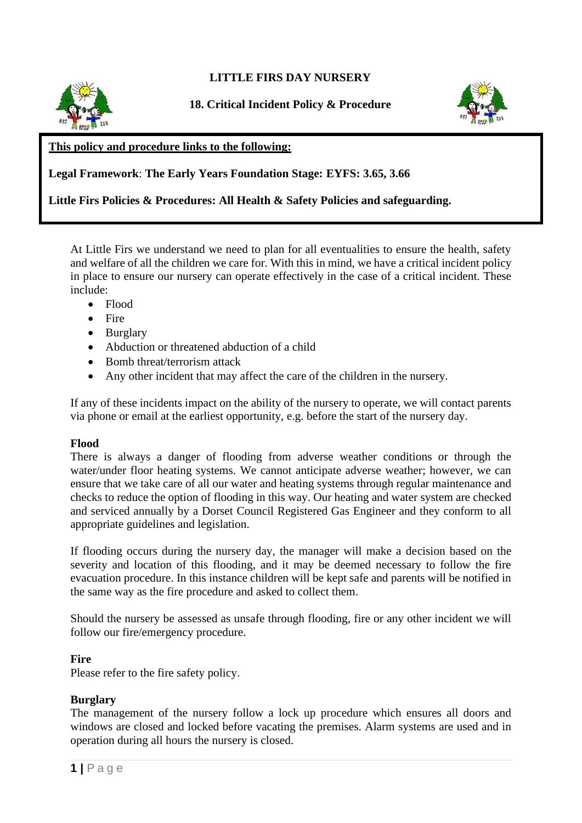# **LITTLE FIRS DAY NURSERY**



**18. Critical Incident Policy & Procedure**



### **This policy and procedure links to the following:**

**Legal Framework**: **The Early Years Foundation Stage: EYFS: 3.65, 3.66**

### **Little Firs Policies & Procedures: All Health & Safety Policies and safeguarding.**

At Little Firs we understand we need to plan for all eventualities to ensure the health, safety and welfare of all the children we care for. With this in mind, we have a critical incident policy in place to ensure our nursery can operate effectively in the case of a critical incident. These include:

- Flood
- Fire
- Burglary
- Abduction or threatened abduction of a child
- Bomb threat/terrorism attack
- Any other incident that may affect the care of the children in the nursery.

If any of these incidents impact on the ability of the nursery to operate, we will contact parents via phone or email at the earliest opportunity, e.g. before the start of the nursery day.

#### **Flood**

There is always a danger of flooding from adverse weather conditions or through the water/under floor heating systems. We cannot anticipate adverse weather; however, we can ensure that we take care of all our water and heating systems through regular maintenance and checks to reduce the option of flooding in this way. Our heating and water system are checked and serviced annually by a Dorset Council Registered Gas Engineer and they conform to all appropriate guidelines and legislation.

If flooding occurs during the nursery day, the manager will make a decision based on the severity and location of this flooding, and it may be deemed necessary to follow the fire evacuation procedure. In this instance children will be kept safe and parents will be notified in the same way as the fire procedure and asked to collect them.

Should the nursery be assessed as unsafe through flooding, fire or any other incident we will follow our fire/emergency procedure.

#### **Fire**

Please refer to the fire safety policy.

#### **Burglary**

The management of the nursery follow a lock up procedure which ensures all doors and windows are closed and locked before vacating the premises. Alarm systems are used and in operation during all hours the nursery is closed.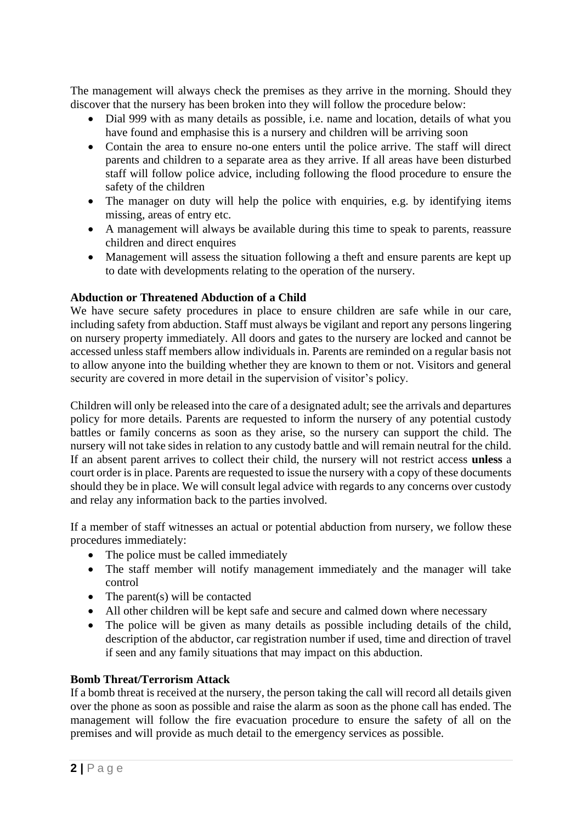The management will always check the premises as they arrive in the morning. Should they discover that the nursery has been broken into they will follow the procedure below:

- Dial 999 with as many details as possible, i.e. name and location, details of what you have found and emphasise this is a nursery and children will be arriving soon
- Contain the area to ensure no-one enters until the police arrive. The staff will direct parents and children to a separate area as they arrive. If all areas have been disturbed staff will follow police advice, including following the flood procedure to ensure the safety of the children
- The manager on duty will help the police with enquiries, e.g. by identifying items missing, areas of entry etc.
- A management will always be available during this time to speak to parents, reassure children and direct enquires
- Management will assess the situation following a theft and ensure parents are kept up to date with developments relating to the operation of the nursery.

## **Abduction or Threatened Abduction of a Child**

We have secure safety procedures in place to ensure children are safe while in our care, including safety from abduction. Staff must always be vigilant and report any persons lingering on nursery property immediately. All doors and gates to the nursery are locked and cannot be accessed unless staff members allow individuals in. Parents are reminded on a regular basis not to allow anyone into the building whether they are known to them or not. Visitors and general security are covered in more detail in the supervision of visitor's policy.

Children will only be released into the care of a designated adult; see the arrivals and departures policy for more details. Parents are requested to inform the nursery of any potential custody battles or family concerns as soon as they arise, so the nursery can support the child. The nursery will not take sides in relation to any custody battle and will remain neutral for the child. If an absent parent arrives to collect their child, the nursery will not restrict access **unless** a court order is in place. Parents are requested to issue the nursery with a copy of these documents should they be in place. We will consult legal advice with regards to any concerns over custody and relay any information back to the parties involved.

If a member of staff witnesses an actual or potential abduction from nursery, we follow these procedures immediately:

- The police must be called immediately
- The staff member will notify management immediately and the manager will take control
- The parent(s) will be contacted
- All other children will be kept safe and secure and calmed down where necessary
- The police will be given as many details as possible including details of the child, description of the abductor, car registration number if used, time and direction of travel if seen and any family situations that may impact on this abduction.

## **Bomb Threat/Terrorism Attack**

If a bomb threat is received at the nursery, the person taking the call will record all details given over the phone as soon as possible and raise the alarm as soon as the phone call has ended. The management will follow the fire evacuation procedure to ensure the safety of all on the premises and will provide as much detail to the emergency services as possible.